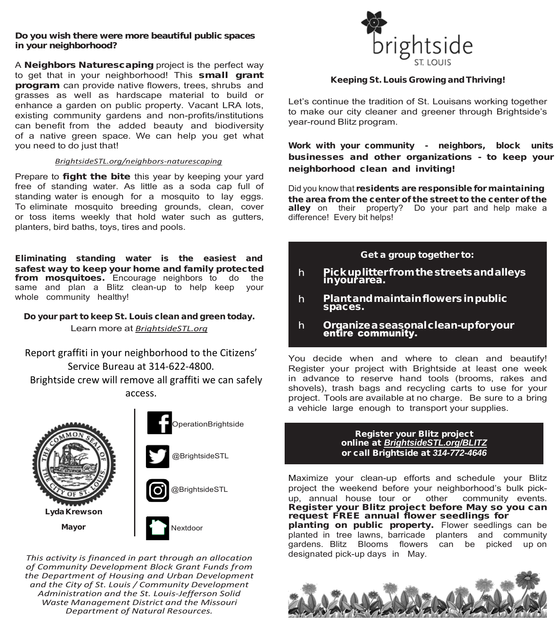### **Do you wish there were more beautiful public spaces in your neighborhood?**

A **Neighbors Naturescaping** project is the perfect way to get that in your neighborhood! This small grant program can provide native flowers, trees, shrubs and grasses as well as hardscape material to build or enhance a garden on public property. Vacant LRA lots, existing community gardens and non-profits/institutions can benefit from the added beauty and biodiversity of a native green space. We can help you get what you need to do just that!

### *BrightsideSTL.org/neighbors-naturescaping*

Prepare to fight the bite this year by keeping your yard free of standing water. As little as a soda cap full of standing water is enough for a mosquito to lay eggs. To eliminate mosquito breeding grounds, clean, cover or toss items weekly that hold water such as gutters, planters, bird baths, toys, tires and pools.

Eliminating standing water is the easiest and safest way to keep your home and family protected from mosquitoes. Encourage neighbors to do the same and plan a Blitz clean-up to help keep your whole community healthy!

### Do your part to keep St. Louis clean and green today. Learn more at *BrightsideSTL.org*

Report graffiti in your neighborhood to the Citizens' Service Bureau at 314-622-4800. Brightside crew will remove all graffiti we can safely access.





@BrightsideSTL





*This activity is financed in part through an allocation of Community Development Block Grant Funds from the Department of Housing and Urban Development and the City of St. Louis / Community Development Administration and the St. Louis-Jefferson Solid Waste Management District and the Missouri Department of Natural Resources.*



### Keeping St. Louis Growing and Thriving!

Let's continue the tradition of St. Louisans working together to make our city cleaner and greener through Brightside's year-round Blitz program.

Work with your community - neighbors, block units businesses and other organizations - to keep your neighborhood clean and inviting!

Did you know that residents are responsible for maintaining the area from the center of the street to the center of the alley on their property? Do your part and help make a difference! Every bit helps!

### Get a group together to:

- $h$ Pick up litter from the streets and alleys<br>in your area.
- Plant and maintain flowers in public  $h$ spaces.
- $h$ Organizea seasonal clean-upfor your<br>entire community.

You decide when and where to clean and beautify! Register your project with Brightside at least one week in advance to reserve hand tools (brooms, rakes and shovels), trash bags and recycling carts to use for your project. Tools are available at no charge. Be sure to a bring a vehicle large enough to transport your supplies.

#### Register your Blitz project online at *BrightsideSTL.org/BLITZ* or call Brightside at *314-772-4646*

Maximize your clean-up efforts and schedule your Blitz project the weekend before your neighborhood's bulk pickup, annual house tour or other community events. Register your Blitz project before May so you can request FREE annual flower seedlings for planting on public property. Flower seedlings can be planted in tree lawns, barricade planters and community gardens. Blitz Blooms flowers can be picked up on designated pick-up days in May.